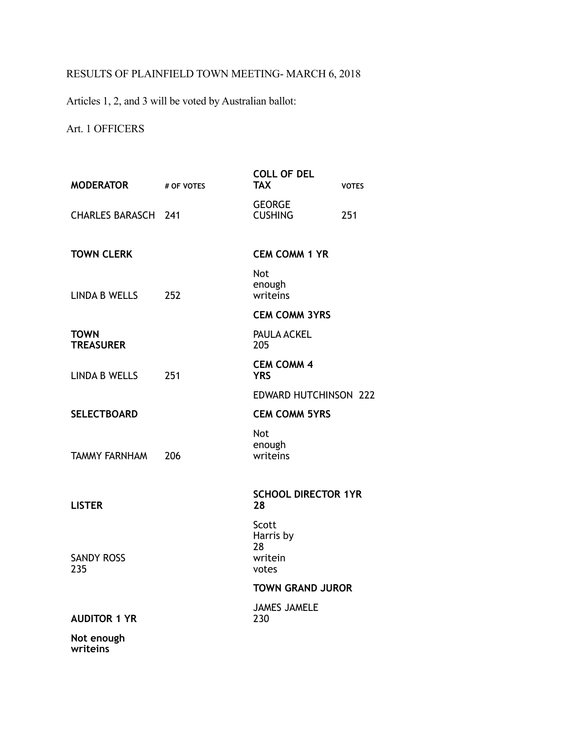## RESULTS OF PLAINFIELD TOWN MEETING- MARCH 6, 2018

Articles 1, 2, and 3 will be voted by Australian ballot:

## Art. 1 OFFICERS

| <b>MODERATOR</b> # OF VOTES     |     | <b>COLL OF DEL</b><br><b>TAX</b>             | <b>VOTES</b> |
|---------------------------------|-----|----------------------------------------------|--------------|
| <b>CHARLES BARASCH 241</b>      |     | <b>GEORGE</b><br><b>CUSHING</b>              | 251          |
| <b>TOWN CLERK</b>               |     | <b>CEM COMM 1 YR</b>                         |              |
| LINDA B WELLS                   | 252 | Not<br>enough<br>writeins                    |              |
|                                 |     | <b>CEM COMM 3YRS</b>                         |              |
| <b>TOWN</b><br><b>TREASURER</b> |     | PAULA ACKEL<br>205                           |              |
| LINDA B WELLS                   | 251 | <b>CEM COMM 4</b><br><b>YRS</b>              |              |
|                                 |     | <b>EDWARD HUTCHINSON 222</b>                 |              |
| <b>SELECTBOARD</b>              |     | <b>CEM COMM 5YRS</b>                         |              |
| <b>TAMMY FARNHAM</b>            | 206 | Not<br>enough<br>writeins                    |              |
| <b>LISTER</b>                   |     | <b>SCHOOL DIRECTOR 1YR</b><br>28             |              |
| <b>SANDY ROSS</b><br>235        |     | Scott<br>Harris by<br>28<br>writein<br>votes |              |
|                                 |     | <b>TOWN GRAND JUROR</b>                      |              |
| <b>AUDITOR 1 YR</b>             |     | <b>JAMES JAMELE</b><br>230                   |              |
| Not enough<br>writeins          |     |                                              |              |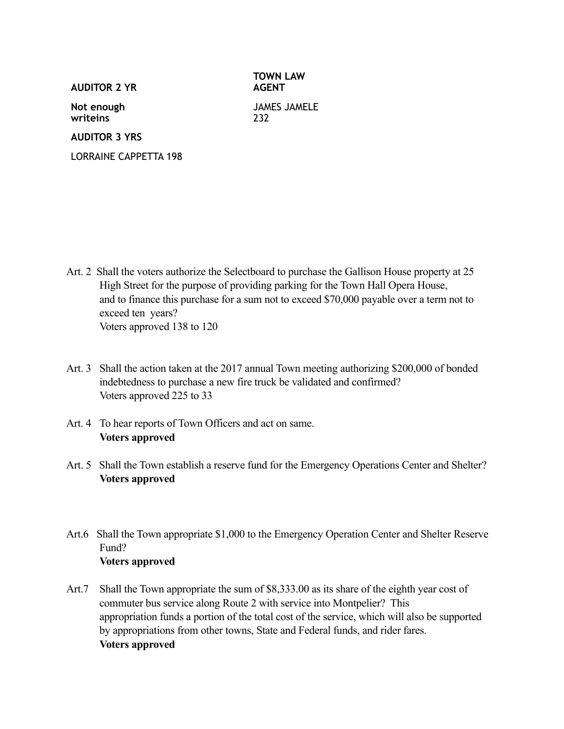**AUDITOR 2 YR**

**TOWN LAW AGENT**

**Not enough writeins**

JAMES JAMELE 232

**AUDITOR 3 YRS**

LORRAINE CAPPETTA 198

- Art. 2 Shall the voters authorize the Selectboard to purchase the Gallison House property at 25 High Street for the purpose of providing parking for the Town Hall Opera House, and to finance this purchase for a sum not to exceed \$70,000 payable over a term not to exceed ten years? Voters approved 138 to 120
- Art. 3 Shall the action taken at the 2017 annual Town meeting authorizing \$200,000 of bonded indebtedness to purchase a new fire truck be validated and confirmed? Voters approved 225 to 33
- Art. 4 To hear reports of Town Officers and act on same. **Voters approved**
- Art. 5 Shall the Town establish a reserve fund for the Emergency Operations Center and Shelter? **Voters approved**
- Art.6 Shall the Town appropriate \$1,000 to the Emergency Operation Center and Shelter Reserve Fund? **Voters approved**
- Art.7 Shall the Town appropriate the sum of \$8,333.00 as its share of the eighth year cost of commuter bus service along Route 2 with service into Montpelier? This appropriation funds a portion of the total cost of the service, which will also be supported by appropriations from other towns, State and Federal funds, and rider fares. **Voters approved**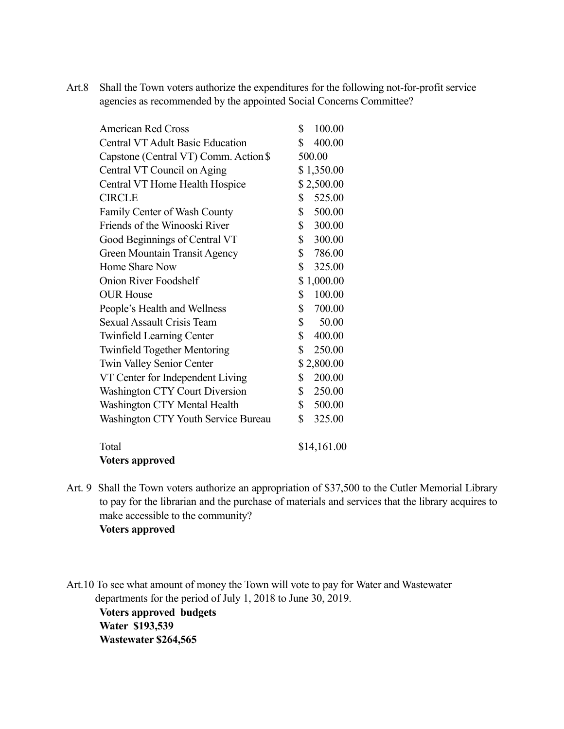Art.8 Shall the Town voters authorize the expenditures for the following not-for-profit service agencies as recommended by the appointed Social Concerns Committee?

| <b>American Red Cross</b>               | 100.00<br>\$           |
|-----------------------------------------|------------------------|
| <b>Central VT Adult Basic Education</b> | 400.00<br>\$           |
| Capstone (Central VT) Comm. Action \$   | 500.00                 |
| Central VT Council on Aging             | \$1,350.00             |
| Central VT Home Health Hospice          | \$2,500.00             |
| <b>CIRCLE</b>                           | \$<br>525.00           |
| Family Center of Wash County            | \$<br>500.00           |
| Friends of the Winooski River           | \$<br>300.00           |
| Good Beginnings of Central VT           | \$<br>300.00           |
| <b>Green Mountain Transit Agency</b>    | \$786.00               |
| Home Share Now                          | \$<br>325.00           |
| <b>Onion River Foodshelf</b>            | \$1,000.00             |
| <b>OUR House</b>                        | 100.00<br>\$           |
| People's Health and Wellness            | \$<br>700.00           |
| Sexual Assault Crisis Team              | 50.00<br>\$            |
| <b>Twinfield Learning Center</b>        | \$<br>400.00           |
| <b>Twinfield Together Mentoring</b>     | \$<br>250.00           |
| <b>Twin Valley Senior Center</b>        | \$2,800.00             |
| VT Center for Independent Living        | \$<br>200.00           |
| <b>Washington CTY Court Diversion</b>   | \$<br>250.00           |
| Washington CTY Mental Health            | $\mathbb{S}$<br>500.00 |
| Washington CTY Youth Service Bureau     | \$<br>325.00           |
| Total                                   | \$14,161.00            |
| $\mathbf{V}$ .                          |                        |

**Voters approved** 

Art. 9 Shall the Town voters authorize an appropriation of \$37,500 to the Cutler Memorial Library to pay for the librarian and the purchase of materials and services that the library acquires to make accessible to the community? **Voters approved** 

Art.10 To see what amount of money the Town will vote to pay for Water and Wastewater departments for the period of July 1, 2018 to June 30, 2019. **Voters approved budgets Water \$193,539 Wastewater \$264,565**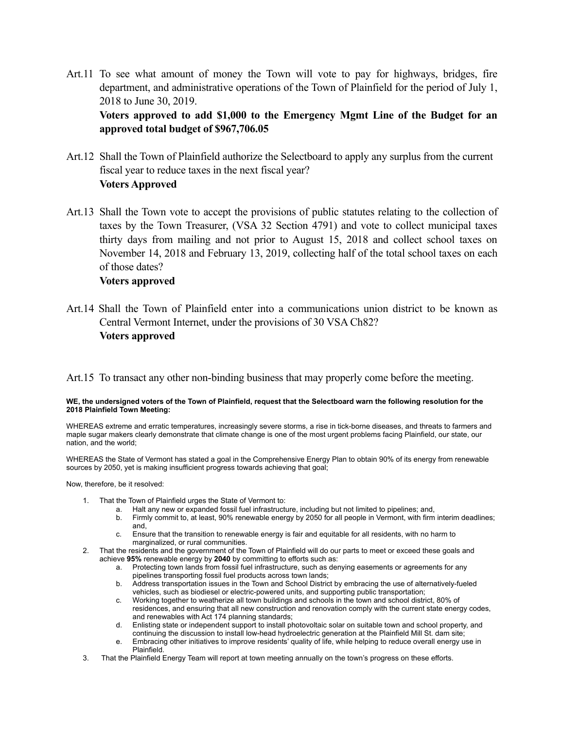Art.11 To see what amount of money the Town will vote to pay for highways, bridges, fire department, and administrative operations of the Town of Plainfield for the period of July 1, 2018 to June 30, 2019.

**Voters approved to add \$1,000 to the Emergency Mgmt Line of the Budget for an approved total budget of \$967,706.05** 

- Art.12 Shall the Town of Plainfield authorize the Selectboard to apply any surplus from the current fiscal year to reduce taxes in the next fiscal year? **Voters Approved**
- Art.13 Shall the Town vote to accept the provisions of public statutes relating to the collection of taxes by the Town Treasurer, (VSA 32 Section 4791) and vote to collect municipal taxes thirty days from mailing and not prior to August 15, 2018 and collect school taxes on November 14, 2018 and February 13, 2019, collecting half of the total school taxes on each of those dates?

## **Voters approved**

Art.14 Shall the Town of Plainfield enter into a communications union district to be known as Central Vermont Internet, under the provisions of 30 VSA Ch82? **Voters approved** 

Art.15 To transact any other non-binding business that may properly come before the meeting.

## **WE, the undersigned voters of the Town of Plainfield, request that the Selectboard warn the following resolution for the 2018 Plainfield Town Meeting:**

WHEREAS extreme and erratic temperatures, increasingly severe storms, a rise in tick-borne diseases, and threats to farmers and maple sugar makers clearly demonstrate that climate change is one of the most urgent problems facing Plainfield, our state, our nation, and the world;

WHEREAS the State of Vermont has stated a goal in the Comprehensive Energy Plan to obtain 90% of its energy from renewable sources by 2050, yet is making insufficient progress towards achieving that goal;

Now, therefore, be it resolved:

- 1. That the Town of Plainfield urges the State of Vermont to:
	- a. Halt any new or expanded fossil fuel infrastructure, including but not limited to pipelines; and,
	- b. Firmly commit to, at least, 90% renewable energy by 2050 for all people in Vermont, with firm interim deadlines; and,
	- c. Ensure that the transition to renewable energy is fair and equitable for all residents, with no harm to marginalized, or rural communities.
- 2. That the residents and the government of the Town of Plainfield will do our parts to meet or exceed these goals and achieve **95%** renewable energy by **2040** by committing to efforts such as:
	- a. Protecting town lands from fossil fuel infrastructure, such as denying easements or agreements for any pipelines transporting fossil fuel products across town lands;
	- b. Address transportation issues in the Town and School District by embracing the use of alternatively-fueled vehicles, such as biodiesel or electric-powered units, and supporting public transportation;
	- c. Working together to weatherize all town buildings and schools in the town and school district, 80% of residences, and ensuring that all new construction and renovation comply with the current state energy codes, and renewables with Act 174 planning standards;
	- d. Enlisting state or independent support to install photovoltaic solar on suitable town and school property, and continuing the discussion to install low-head hydroelectric generation at the Plainfield Mill St. dam site;
	- e. Embracing other initiatives to improve residents' quality of life, while helping to reduce overall energy use in **Plainfield**
- 3. That the Plainfield Energy Team will report at town meeting annually on the town's progress on these efforts.